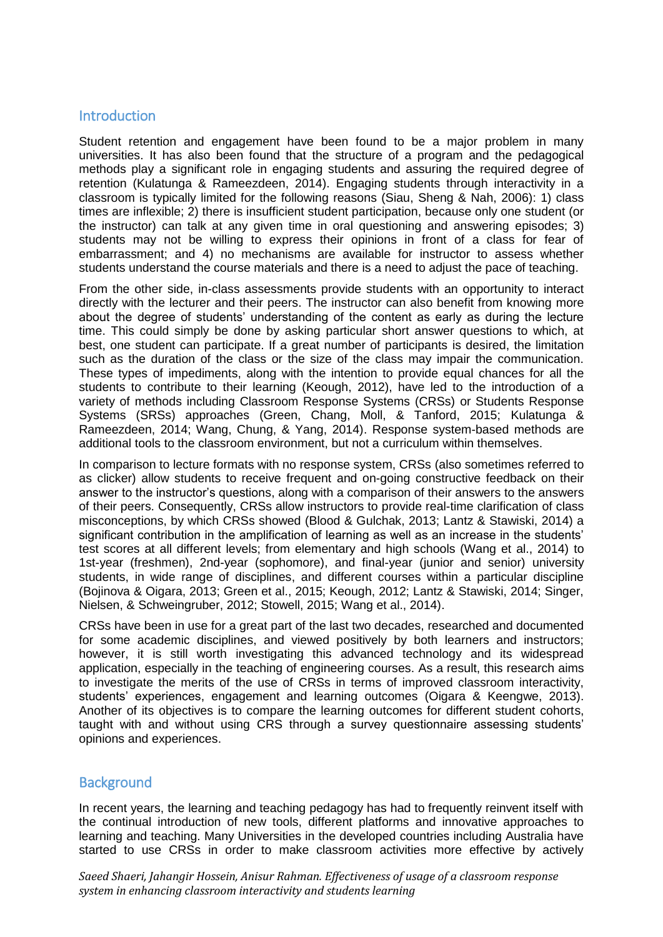## **Introduction**

Student retention and engagement have been found to be a major problem in many universities. It has also been found that the structure of a program and the pedagogical methods play a significant role in engaging students and assuring the required degree of retention (Kulatunga & Rameezdeen, 2014). Engaging students through interactivity in a classroom is typically limited for the following reasons (Siau, Sheng & Nah, 2006): 1) class times are inflexible; 2) there is insufficient student participation, because only one student (or the instructor) can talk at any given time in oral questioning and answering episodes; 3) students may not be willing to express their opinions in front of a class for fear of embarrassment; and 4) no mechanisms are available for instructor to assess whether students understand the course materials and there is a need to adjust the pace of teaching.

From the other side, in-class assessments provide students with an opportunity to interact directly with the lecturer and their peers. The instructor can also benefit from knowing more about the degree of students' understanding of the content as early as during the lecture time. This could simply be done by asking particular short answer questions to which, at best, one student can participate. If a great number of participants is desired, the limitation such as the duration of the class or the size of the class may impair the communication. These types of impediments, along with the intention to provide equal chances for all the students to contribute to their learning (Keough, 2012), have led to the introduction of a variety of methods including Classroom Response Systems (CRSs) or Students Response Systems (SRSs) approaches (Green, Chang, Moll, & Tanford, 2015; Kulatunga & Rameezdeen, 2014; Wang, Chung, & Yang, 2014). Response system-based methods are additional tools to the classroom environment, but not a curriculum within themselves.

In comparison to lecture formats with no response system, CRSs (also sometimes referred to as clicker) allow students to receive frequent and on-going constructive feedback on their answer to the instructor's questions, along with a comparison of their answers to the answers of their peers. Consequently, CRSs allow instructors to provide real-time clarification of class misconceptions, by which CRSs showed (Blood & Gulchak, 2013; Lantz & Stawiski, 2014) a significant contribution in the amplification of learning as well as an increase in the students' test scores at all different levels; from elementary and high schools (Wang et al., 2014) to 1st-year (freshmen), 2nd-year (sophomore), and final-year (junior and senior) university students, in wide range of disciplines, and different courses within a particular discipline (Bojinova & Oigara, 2013; Green et al., 2015; Keough, 2012; Lantz & Stawiski, 2014; Singer, Nielsen, & Schweingruber, 2012; Stowell, 2015; Wang et al., 2014).

CRSs have been in use for a great part of the last two decades, researched and documented for some academic disciplines, and viewed positively by both learners and instructors; however, it is still worth investigating this advanced technology and its widespread application, especially in the teaching of engineering courses. As a result, this research aims to investigate the merits of the use of CRSs in terms of improved classroom interactivity, students' experiences, engagement and learning outcomes (Oigara & Keengwe, 2013). Another of its objectives is to compare the learning outcomes for different student cohorts, taught with and without using CRS through a survey questionnaire assessing students' opinions and experiences.

## **Background**

In recent years, the learning and teaching pedagogy has had to frequently reinvent itself with the continual introduction of new tools, different platforms and innovative approaches to learning and teaching. Many Universities in the developed countries including Australia have started to use CRSs in order to make classroom activities more effective by actively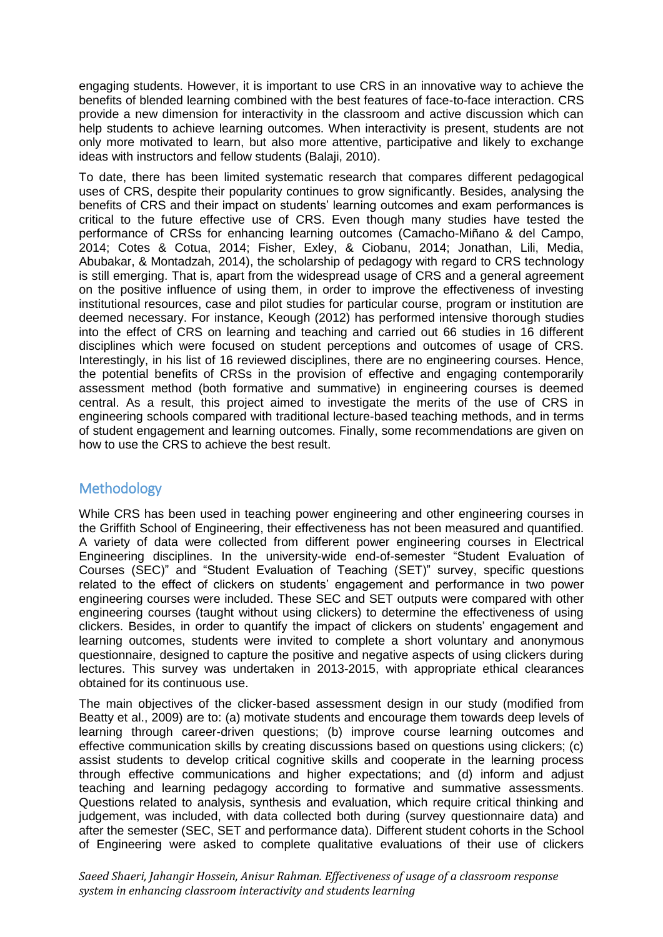engaging students. However, it is important to use CRS in an innovative way to achieve the benefits of blended learning combined with the best features of face-to-face interaction. CRS provide a new dimension for interactivity in the classroom and active discussion which can help students to achieve learning outcomes. When interactivity is present, students are not only more motivated to learn, but also more attentive, participative and likely to exchange ideas with instructors and fellow students (Balaji, 2010).

To date, there has been limited systematic research that compares different pedagogical uses of CRS, despite their popularity continues to grow significantly. Besides, analysing the benefits of CRS and their impact on students' learning outcomes and exam performances is critical to the future effective use of CRS. Even though many studies have tested the performance of CRSs for enhancing learning outcomes (Camacho-Miñano & del Campo, 2014; Cotes & Cotua, 2014; Fisher, Exley, & Ciobanu, 2014; Jonathan, Lili, Media, Abubakar, & Montadzah, 2014), the scholarship of pedagogy with regard to CRS technology is still emerging. That is, apart from the widespread usage of CRS and a general agreement on the positive influence of using them, in order to improve the effectiveness of investing institutional resources, case and pilot studies for particular course, program or institution are deemed necessary. For instance, Keough (2012) has performed intensive thorough studies into the effect of CRS on learning and teaching and carried out 66 studies in 16 different disciplines which were focused on student perceptions and outcomes of usage of CRS. Interestingly, in his list of 16 reviewed disciplines, there are no engineering courses. Hence, the potential benefits of CRSs in the provision of effective and engaging contemporarily assessment method (both formative and summative) in engineering courses is deemed central. As a result, this project aimed to investigate the merits of the use of CRS in engineering schools compared with traditional lecture-based teaching methods, and in terms of student engagement and learning outcomes. Finally, some recommendations are given on how to use the CRS to achieve the best result.

# **Methodology**

While CRS has been used in teaching power engineering and other engineering courses in the Griffith School of Engineering, their effectiveness has not been measured and quantified. A variety of data were collected from different power engineering courses in Electrical Engineering disciplines. In the university-wide end-of-semester "Student Evaluation of Courses (SEC)" and "Student Evaluation of Teaching (SET)" survey, specific questions related to the effect of clickers on students' engagement and performance in two power engineering courses were included. These SEC and SET outputs were compared with other engineering courses (taught without using clickers) to determine the effectiveness of using clickers. Besides, in order to quantify the impact of clickers on students' engagement and learning outcomes, students were invited to complete a short voluntary and anonymous questionnaire, designed to capture the positive and negative aspects of using clickers during lectures. This survey was undertaken in 2013-2015, with appropriate ethical clearances obtained for its continuous use.

The main objectives of the clicker-based assessment design in our study (modified from Beatty et al., 2009) are to: (a) motivate students and encourage them towards deep levels of learning through career-driven questions; (b) improve course learning outcomes and effective communication skills by creating discussions based on questions using clickers; (c) assist students to develop critical cognitive skills and cooperate in the learning process through effective communications and higher expectations; and (d) inform and adjust teaching and learning pedagogy according to formative and summative assessments. Questions related to analysis, synthesis and evaluation, which require critical thinking and judgement, was included, with data collected both during (survey questionnaire data) and after the semester (SEC, SET and performance data). Different student cohorts in the School of Engineering were asked to complete qualitative evaluations of their use of clickers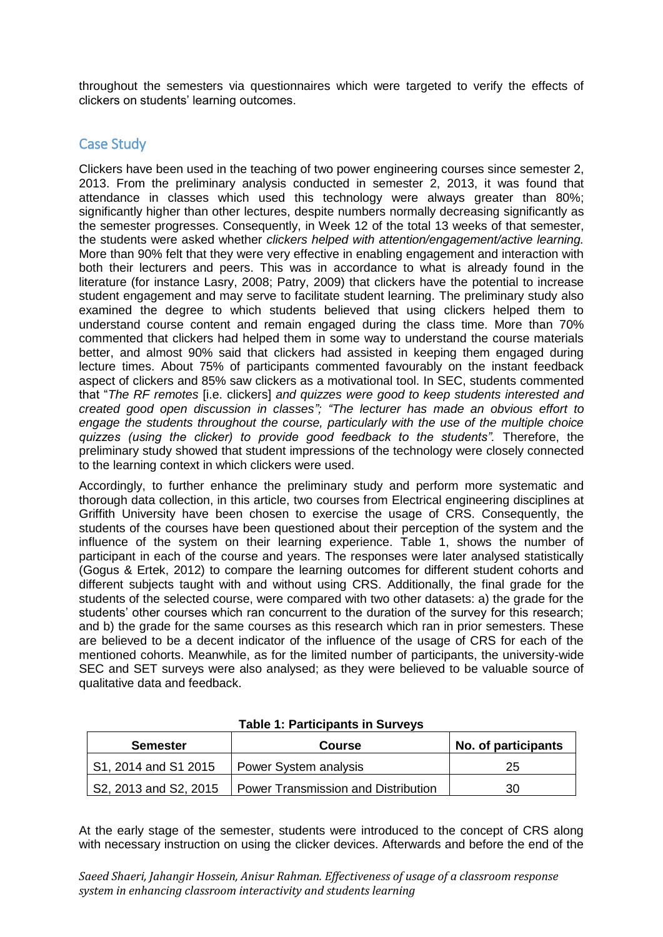throughout the semesters via questionnaires which were targeted to verify the effects of clickers on students' learning outcomes.

## Case Study

Clickers have been used in the teaching of two power engineering courses since semester 2, 2013. From the preliminary analysis conducted in semester 2, 2013, it was found that attendance in classes which used this technology were always greater than 80%; significantly higher than other lectures, despite numbers normally decreasing significantly as the semester progresses. Consequently, in Week 12 of the total 13 weeks of that semester, the students were asked whether *clickers helped with attention/engagement/active learning.*  More than 90% felt that they were very effective in enabling engagement and interaction with both their lecturers and peers. This was in accordance to what is already found in the literature (for instance Lasry, 2008; Patry, 2009) that clickers have the potential to increase student engagement and may serve to facilitate student learning. The preliminary study also examined the degree to which students believed that using clickers helped them to understand course content and remain engaged during the class time. More than 70% commented that clickers had helped them in some way to understand the course materials better, and almost 90% said that clickers had assisted in keeping them engaged during lecture times. About 75% of participants commented favourably on the instant feedback aspect of clickers and 85% saw clickers as a motivational tool. In SEC, students commented that "*The RF remotes* [i.e. clickers] *and quizzes were good to keep students interested and created good open discussion in classes"; "The lecturer has made an obvious effort to engage the students throughout the course, particularly with the use of the multiple choice quizzes (using the clicker) to provide good feedback to the students".* Therefore, the preliminary study showed that student impressions of the technology were closely connected to the learning context in which clickers were used.

Accordingly, to further enhance the preliminary study and perform more systematic and thorough data collection, in this article, two courses from Electrical engineering disciplines at Griffith University have been chosen to exercise the usage of CRS. Consequently, the students of the courses have been questioned about their perception of the system and the influence of the system on their learning experience. Table 1, shows the number of participant in each of the course and years. The responses were later analysed statistically (Gogus & Ertek, 2012) to compare the learning outcomes for different student cohorts and different subjects taught with and without using CRS. Additionally, the final grade for the students of the selected course, were compared with two other datasets: a) the grade for the students' other courses which ran concurrent to the duration of the survey for this research; and b) the grade for the same courses as this research which ran in prior semesters. These are believed to be a decent indicator of the influence of the usage of CRS for each of the mentioned cohorts. Meanwhile, as for the limited number of participants, the university-wide SEC and SET surveys were also analysed; as they were believed to be valuable source of qualitative data and feedback.

| <b>Semester</b><br><b>Course</b> |                                            | No. of participants |  |  |
|----------------------------------|--------------------------------------------|---------------------|--|--|
| S1, 2014 and S1 2015             | Power System analysis                      | 25                  |  |  |
| S2, 2013 and S2, 2015            | <b>Power Transmission and Distribution</b> | 30                  |  |  |

#### **Table 1: Participants in Surveys**

At the early stage of the semester, students were introduced to the concept of CRS along with necessary instruction on using the clicker devices. Afterwards and before the end of the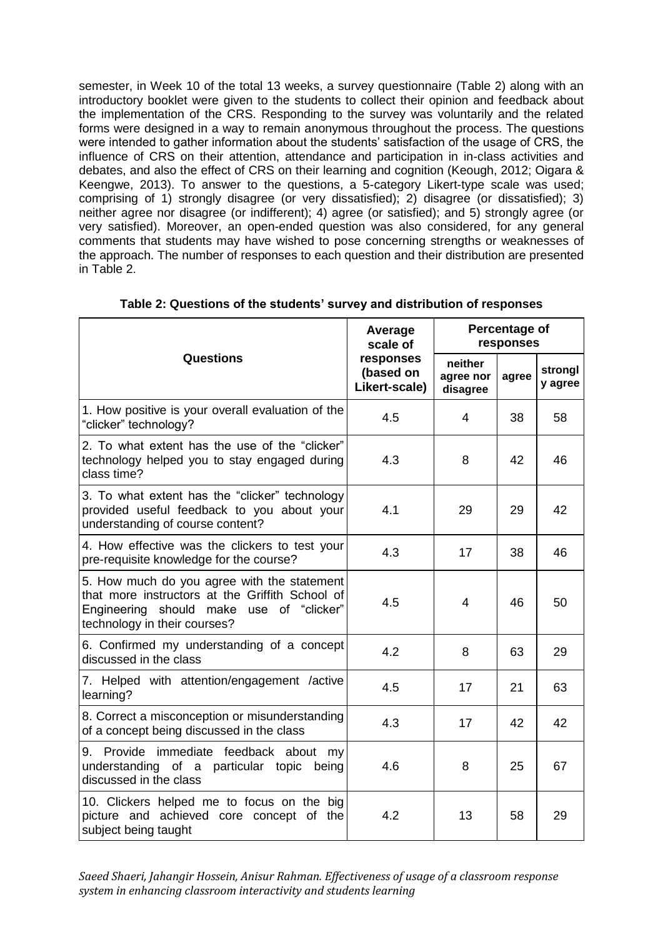semester, in Week 10 of the total 13 weeks, a survey questionnaire (Table 2) along with an introductory booklet were given to the students to collect their opinion and feedback about the implementation of the CRS. Responding to the survey was voluntarily and the related forms were designed in a way to remain anonymous throughout the process. The questions were intended to gather information about the students' satisfaction of the usage of CRS, the influence of CRS on their attention, attendance and participation in in-class activities and debates, and also the effect of CRS on their learning and cognition (Keough, 2012; Oigara & Keengwe, 2013). To answer to the questions, a 5-category Likert-type scale was used; comprising of 1) strongly disagree (or very dissatisfied); 2) disagree (or dissatisfied); 3) neither agree nor disagree (or indifferent); 4) agree (or satisfied); and 5) strongly agree (or very satisfied). Moreover, an open-ended question was also considered, for any general comments that students may have wished to pose concerning strengths or weaknesses of the approach. The number of responses to each question and their distribution are presented in Table 2.

|                                                                                                                                                                            | Average<br>scale of                     | Percentage of<br>responses       |       |                    |  |
|----------------------------------------------------------------------------------------------------------------------------------------------------------------------------|-----------------------------------------|----------------------------------|-------|--------------------|--|
| <b>Questions</b>                                                                                                                                                           | responses<br>(based on<br>Likert-scale) | neither<br>agree nor<br>disagree | agree | strongl<br>y agree |  |
| 1. How positive is your overall evaluation of the<br>"clicker" technology?                                                                                                 | 4.5                                     | 4                                | 38    | 58                 |  |
| 2. To what extent has the use of the "clicker"<br>technology helped you to stay engaged during<br>class time?                                                              | 4.3                                     | 8                                | 42    | 46                 |  |
| 3. To what extent has the "clicker" technology<br>provided useful feedback to you about your<br>understanding of course content?                                           | 4.1                                     | 29                               | 29    | 42                 |  |
| 4. How effective was the clickers to test your<br>pre-requisite knowledge for the course?                                                                                  | 4.3                                     | 17                               | 38    | 46                 |  |
| 5. How much do you agree with the statement<br>that more instructors at the Griffith School of<br>Engineering should make use of "clicker"<br>technology in their courses? | 4.5                                     | 4                                | 46    | 50                 |  |
| 6. Confirmed my understanding of a concept<br>discussed in the class                                                                                                       | 4.2                                     | 8                                | 63    | 29                 |  |
| 7. Helped with attention/engagement /active<br>learning?                                                                                                                   | 4.5                                     | 17                               | 21    | 63                 |  |
| 8. Correct a misconception or misunderstanding<br>of a concept being discussed in the class                                                                                | 4.3                                     | 17                               | 42    | 42                 |  |
| 9. Provide immediate feedback about<br>my<br>understanding of a particular topic<br>being<br>discussed in the class                                                        | 4.6                                     | 8                                | 25    | 67                 |  |
| 10. Clickers helped me to focus on the big<br>picture and achieved core concept of the<br>subject being taught                                                             | 4.2                                     | 13                               | 58    | 29                 |  |

#### **Table 2: Questions of the students' survey and distribution of responses**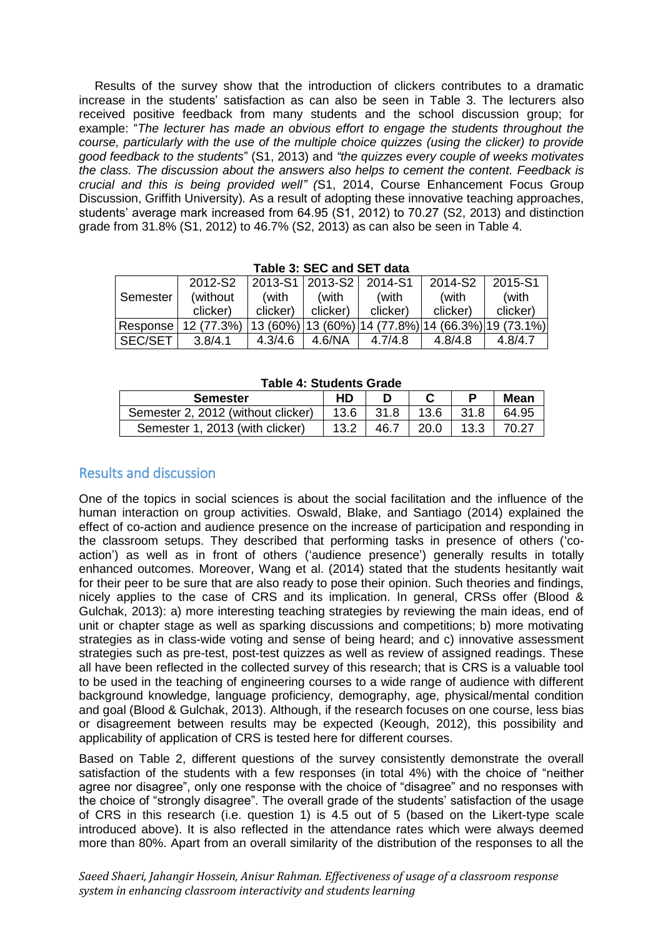Results of the survey show that the introduction of clickers contributes to a dramatic increase in the students' satisfaction as can also be seen in Table 3. The lecturers also received positive feedback from many students and the school discussion group; for example: "*The lecturer has made an obvious effort to engage the students throughout the course, particularly with the use of the multiple choice quizzes (using the clicker) to provide good feedback to the students*" (S1, 2013) and *"the quizzes every couple of weeks motivates the class. The discussion about the answers also helps to cement the content. Feedback is crucial and this is being provided well" (*S1, 2014, Course Enhancement Focus Group Discussion, Griffith University)*.* As a result of adopting these innovative teaching approaches, students' average mark increased from 64.95 (S1, 2012) to 70.27 (S2, 2013) and distinction grade from 31.8% (S1, 2012) to 46.7% (S2, 2013) as can also be seen in Table 4.

|                | 2012-S2    | 2013-S1 2013-S2 |          | 2014-S1  | 2014-S2  | 2015-S1                                   |
|----------------|------------|-----------------|----------|----------|----------|-------------------------------------------|
| Semester       | (without   | (with           | (with    | (with    | (with    | (with                                     |
|                | clicker)   | clicker)        | clicker) | clicker) | clicker) | clicker)                                  |
| Response       | 12 (77.3%) | 13 (60%)        |          |          |          | 13 (60%) 14 (77.8%) 14 (66.3%) 19 (73.1%) |
| <b>SEC/SET</b> | 3.8/4.1    | 4.3/4.6         | 4.6/NA   | 4.7/4.8  | 4.8/4.8  | 4.8/4.7                                   |

**Table 3: SEC and SET data**

| $1$ upiv $\pi$ . Oluuvino Oluuv    |      |      |      |      |       |  |
|------------------------------------|------|------|------|------|-------|--|
| <b>Semester</b>                    | HD   |      |      |      | Mean  |  |
| Semester 2, 2012 (without clicker) | 13.6 | 31.8 | 13.6 | 31.8 | 64.95 |  |
| Semester 1, 2013 (with clicker)    |      | 46.7 | 20.0 | 13.3 | 70 27 |  |

**Table 4: Students Grade**

## Results and discussion

One of the topics in social sciences is about the social facilitation and the influence of the human interaction on group activities. Oswald, Blake, and Santiago (2014) explained the effect of co-action and audience presence on the increase of participation and responding in the classroom setups. They described that performing tasks in presence of others ('coaction') as well as in front of others ('audience presence') generally results in totally enhanced outcomes. Moreover, Wang et al. (2014) stated that the students hesitantly wait for their peer to be sure that are also ready to pose their opinion. Such theories and findings, nicely applies to the case of CRS and its implication. In general, CRSs offer (Blood & Gulchak, 2013): a) more interesting teaching strategies by reviewing the main ideas, end of unit or chapter stage as well as sparking discussions and competitions; b) more motivating strategies as in class-wide voting and sense of being heard; and c) innovative assessment strategies such as pre-test, post-test quizzes as well as review of assigned readings. These all have been reflected in the collected survey of this research; that is CRS is a valuable tool to be used in the teaching of engineering courses to a wide range of audience with different background knowledge, language proficiency, demography, age, physical/mental condition and goal (Blood & Gulchak, 2013). Although, if the research focuses on one course, less bias or disagreement between results may be expected (Keough, 2012), this possibility and applicability of application of CRS is tested here for different courses.

Based on Table 2, different questions of the survey consistently demonstrate the overall satisfaction of the students with a few responses (in total 4%) with the choice of "neither agree nor disagree", only one response with the choice of "disagree" and no responses with the choice of "strongly disagree". The overall grade of the students' satisfaction of the usage of CRS in this research (i.e. question 1) is 4.5 out of 5 (based on the Likert-type scale introduced above). It is also reflected in the attendance rates which were always deemed more than 80%. Apart from an overall similarity of the distribution of the responses to all the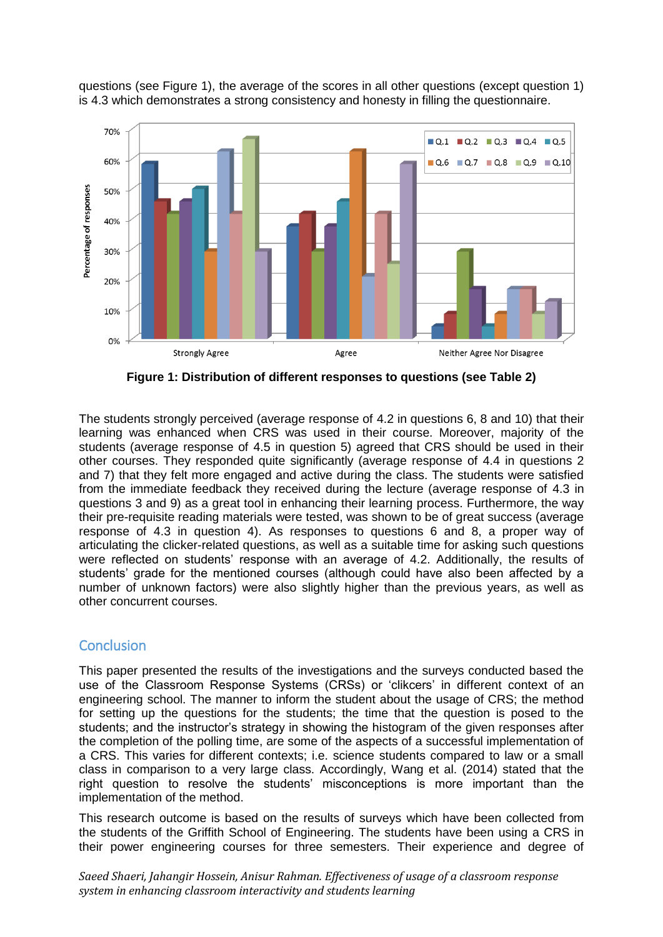

questions (see Figure 1), the average of the scores in all other questions (except question 1) is 4.3 which demonstrates a strong consistency and honesty in filling the questionnaire.

**Figure 1: Distribution of different responses to questions (see Table 2)**

The students strongly perceived (average response of 4.2 in questions 6, 8 and 10) that their learning was enhanced when CRS was used in their course. Moreover, majority of the students (average response of 4.5 in question 5) agreed that CRS should be used in their other courses. They responded quite significantly (average response of 4.4 in questions 2 and 7) that they felt more engaged and active during the class. The students were satisfied from the immediate feedback they received during the lecture (average response of 4.3 in questions 3 and 9) as a great tool in enhancing their learning process. Furthermore, the way their pre-requisite reading materials were tested, was shown to be of great success (average response of 4.3 in question 4). As responses to questions 6 and 8, a proper way of articulating the clicker-related questions, as well as a suitable time for asking such questions were reflected on students' response with an average of 4.2. Additionally, the results of students' grade for the mentioned courses (although could have also been affected by a number of unknown factors) were also slightly higher than the previous years, as well as other concurrent courses.

## **Conclusion**

This paper presented the results of the investigations and the surveys conducted based the use of the Classroom Response Systems (CRSs) or 'clikcers' in different context of an engineering school. The manner to inform the student about the usage of CRS; the method for setting up the questions for the students; the time that the question is posed to the students; and the instructor's strategy in showing the histogram of the given responses after the completion of the polling time, are some of the aspects of a successful implementation of a CRS. This varies for different contexts; i.e. science students compared to law or a small class in comparison to a very large class. Accordingly, Wang et al. (2014) stated that the right question to resolve the students' misconceptions is more important than the implementation of the method.

This research outcome is based on the results of surveys which have been collected from the students of the Griffith School of Engineering. The students have been using a CRS in their power engineering courses for three semesters. Their experience and degree of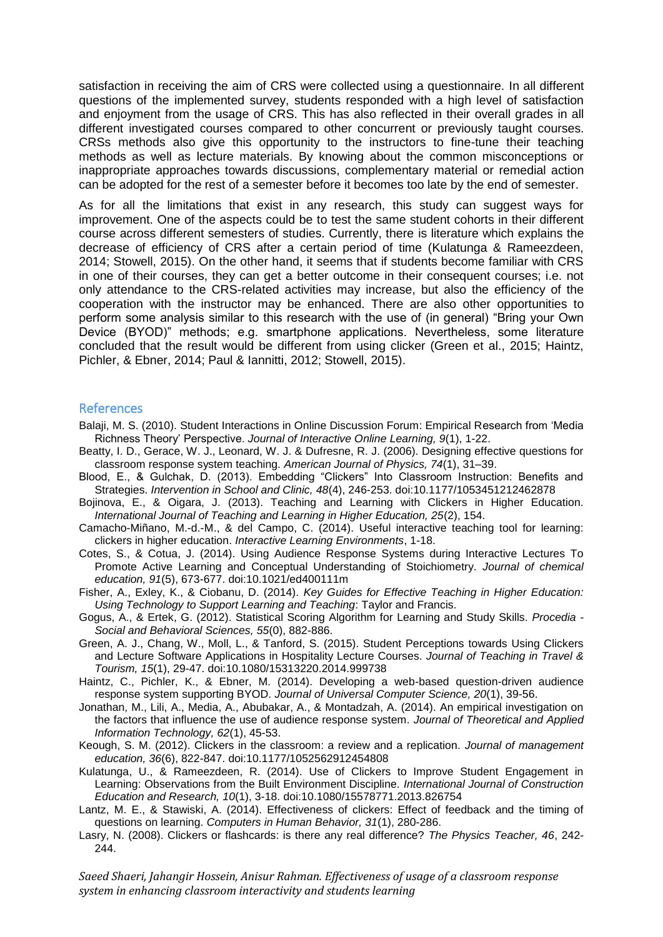satisfaction in receiving the aim of CRS were collected using a questionnaire. In all different questions of the implemented survey, students responded with a high level of satisfaction and enjoyment from the usage of CRS. This has also reflected in their overall grades in all different investigated courses compared to other concurrent or previously taught courses. CRSs methods also give this opportunity to the instructors to fine-tune their teaching methods as well as lecture materials. By knowing about the common misconceptions or inappropriate approaches towards discussions, complementary material or remedial action can be adopted for the rest of a semester before it becomes too late by the end of semester.

As for all the limitations that exist in any research, this study can suggest ways for improvement. One of the aspects could be to test the same student cohorts in their different course across different semesters of studies. Currently, there is literature which explains the decrease of efficiency of CRS after a certain period of time (Kulatunga & Rameezdeen, 2014; Stowell, 2015). On the other hand, it seems that if students become familiar with CRS in one of their courses, they can get a better outcome in their consequent courses; i.e. not only attendance to the CRS-related activities may increase, but also the efficiency of the cooperation with the instructor may be enhanced. There are also other opportunities to perform some analysis similar to this research with the use of (in general) "Bring your Own Device (BYOD)" methods; e.g. smartphone applications. Nevertheless, some literature concluded that the result would be different from using clicker (Green et al., 2015; Haintz, Pichler, & Ebner, 2014; Paul & Iannitti, 2012; Stowell, 2015).

#### References

- Balaji, M. S. (2010). Student Interactions in Online Discussion Forum: Empirical Research from 'Media Richness Theory' Perspective. *Journal of Interactive Online Learning, 9*(1), 1-22.
- Beatty, I. D., Gerace, W. J., Leonard, W. J. & Dufresne, R. J. (2006). Designing effective questions for classroom response system teaching. *American Journal of Physics, 74*(1), 31–39.
- Blood, E., & Gulchak, D. (2013). Embedding "Clickers" Into Classroom Instruction: Benefits and Strategies. *Intervention in School and Clinic, 48*(4), 246-253. doi:10.1177/1053451212462878
- Bojinova, E., & Oigara, J. (2013). Teaching and Learning with Clickers in Higher Education. *International Journal of Teaching and Learning in Higher Education, 25*(2), 154.
- Camacho-Miñano, M.-d.-M., & del Campo, C. (2014). Useful interactive teaching tool for learning: clickers in higher education. *Interactive Learning Environments*, 1-18.
- Cotes, S., & Cotua, J. (2014). Using Audience Response Systems during Interactive Lectures To Promote Active Learning and Conceptual Understanding of Stoichiometry. *Journal of chemical education, 91*(5), 673-677. doi:10.1021/ed400111m
- Fisher, A., Exley, K., & Ciobanu, D. (2014). *Key Guides for Effective Teaching in Higher Education: Using Technology to Support Learning and Teaching*: Taylor and Francis.
- Gogus, A., & Ertek, G. (2012). Statistical Scoring Algorithm for Learning and Study Skills. *Procedia - Social and Behavioral Sciences, 55*(0), 882-886.
- Green, A. J., Chang, W., Moll, L., & Tanford, S. (2015). Student Perceptions towards Using Clickers and Lecture Software Applications in Hospitality Lecture Courses. *Journal of Teaching in Travel & Tourism, 15*(1), 29-47. doi:10.1080/15313220.2014.999738
- Haintz, C., Pichler, K., & Ebner, M. (2014). Developing a web-based question-driven audience response system supporting BYOD. *Journal of Universal Computer Science, 20*(1), 39-56.
- Jonathan, M., Lili, A., Media, A., Abubakar, A., & Montadzah, A. (2014). An empirical investigation on the factors that influence the use of audience response system. *Journal of Theoretical and Applied Information Technology, 62*(1), 45-53.
- Keough, S. M. (2012). Clickers in the classroom: a review and a replication. *Journal of management education, 36*(6), 822-847. doi:10.1177/1052562912454808
- Kulatunga, U., & Rameezdeen, R. (2014). Use of Clickers to Improve Student Engagement in Learning: Observations from the Built Environment Discipline. *International Journal of Construction Education and Research, 10*(1), 3-18. doi:10.1080/15578771.2013.826754
- Lantz, M. E., & Stawiski, A. (2014). Effectiveness of clickers: Effect of feedback and the timing of questions on learning. *Computers in Human Behavior, 31*(1), 280-286.
- Lasry, N. (2008). Clickers or flashcards: is there any real difference? *The Physics Teacher, 46*, 242- 244.